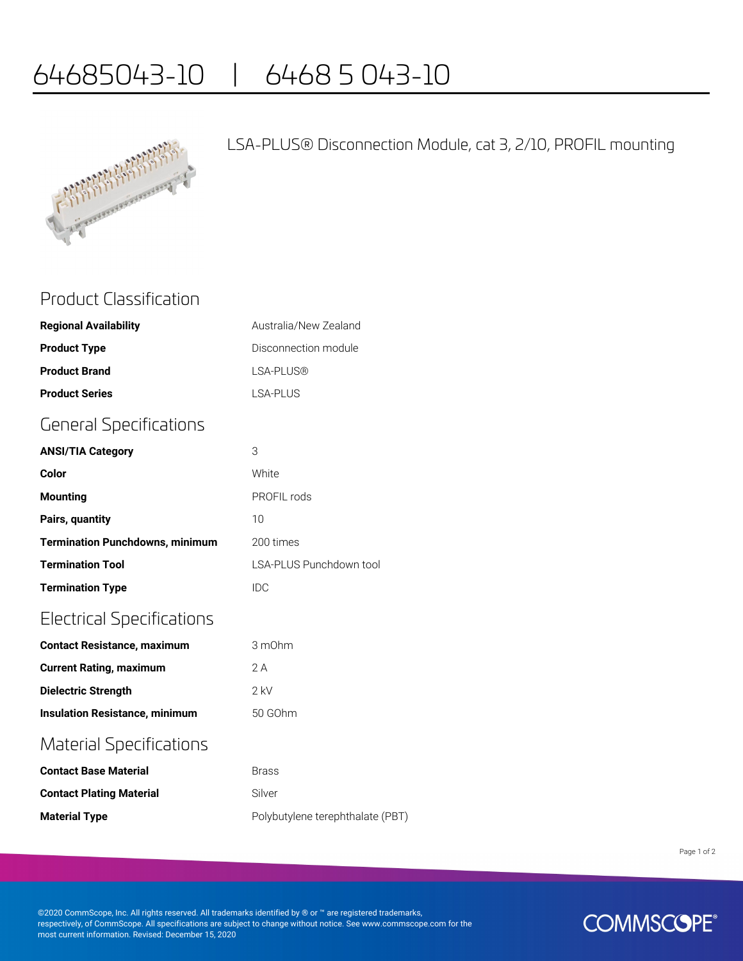# 64685043-10 | 6468 5 043-10



### LSA-PLUS® Disconnection Module, cat 3, 2/10, PROFIL mounting

### Product Classification

| <b>Regional Availability</b> | Australia/New Zealand |
|------------------------------|-----------------------|
| <b>Product Type</b>          | Disconnection module  |
| <b>Product Brand</b>         | LSA-PLUS®             |
| <b>Product Series</b>        | LSA-PLUS              |

## General Specifications

| <b>ANSI/TIA Category</b>               | 3                       |
|----------------------------------------|-------------------------|
| Color                                  | White                   |
| <b>Mounting</b>                        | PROFIL rods             |
| Pairs, quantity                        | 10                      |
| <b>Termination Punchdowns, minimum</b> | 200 times               |
| <b>Termination Tool</b>                | LSA-PLUS Punchdown tool |
| <b>Termination Type</b>                | IDC                     |

## Electrical Specifications

| <b>Contact Resistance, maximum</b>    | 3 m0hm    |  |
|---------------------------------------|-----------|--|
| <b>Current Rating, maximum</b>        | 2 A       |  |
| Dielectric Strength                   | $2$ kV    |  |
| <b>Insulation Resistance, minimum</b> | $50$ GOhm |  |
| <b>Material Specifications</b>        |           |  |

## **Contact Base Material Brass Contact Plating Material** Silver **Material Type Material Type Polybutylene terephthalate (PBT)**

Page 1 of 2

©2020 CommScope, Inc. All rights reserved. All trademarks identified by ® or ™ are registered trademarks, respectively, of CommScope. All specifications are subject to change without notice. See www.commscope.com for the most current information. Revised: December 15, 2020